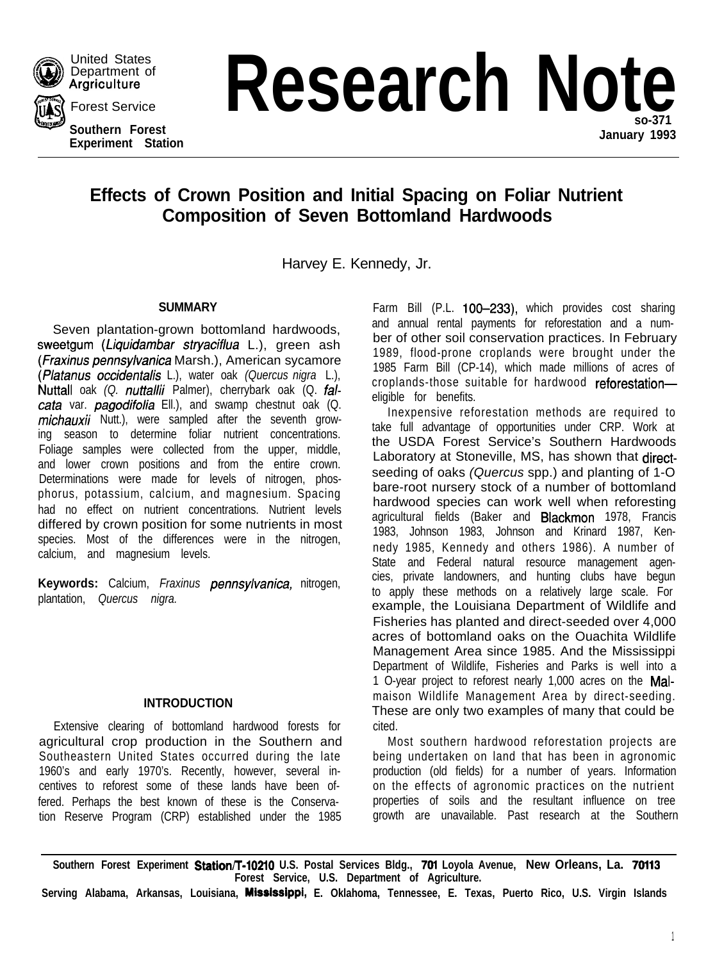

Department of **Argriculture** 

United States

**Southern Forest Experiment Station January 1993**

**Experiment of Research Note** 

**Effects of Crown Position and Initial Spacing on Foliar Nutrient Composition of Seven Bottomland Hardwoods**

Harvey E. Kennedy, Jr.

# **SUMMARY**

Seven plantation-grown bottomland hardwoods, sweetgum *(Liquidambar stryaciflua* L.), green ash *(Fraxinus* pennsylvanica Marsh.), American sycamore (Platanus *occidentalis* L.), water oak *(Quercus nigra* L.), Nuttall oak *(Q. nuttallii* Palmer), cherrybark oak (Q. *falcafa* var. *pagodifolia* Ell.), and swamp chestnut oak (Q. *michauxii* Nutt.), were sampled after the seventh growing season to determine foliar nutrient concentrations. Foliage samples were collected from the upper, middle, and lower crown positions and from the entire crown. Determinations were made for levels of nitrogen, phosphorus, potassium, calcium, and magnesium. Spacing had no effect on nutrient concentrations. Nutrient levels differed by crown position for some nutrients in most species. Most of the differences were in the nitrogen, calcium, and magnesium levels.

**Keywords:** Calcium, *Fraxinus pennsylvanica,* nitrogen, plantation, *Quercus nigra.*

# **INTRODUCTION**

Extensive clearing of bottomland hardwood forests for agricultural crop production in the Southern and Southeastern United States occurred during the late 1960's and early 1970's. Recently, however, several incentives to reforest some of these lands have been offered. Perhaps the best known of these is the Conservation Reserve Program (CRP) established under the 1985

Farm Bill (P.L. 100-233), which provides cost sharing and annual rental payments for reforestation and a number of other soil conservation practices. In February 1989, flood-prone croplands were brought under the 1985 Farm Bill (CP-14), which made millions of acres of croplands-those suitable for hardwood reforestationeligible for benefits.

Inexpensive reforestation methods are required to take full advantage of opportunities under CRP. Work at the USDA Forest Service's Southern Hardwoods Laboratory at Stoneville, MS, has shown that directseeding of oaks *(Quercus* spp.) and planting of 1-O bare-root nursery stock of a number of bottomland hardwood species can work well when reforesting agricultural fields (Baker and Blackmon 1978, Francis 1983, Johnson 1983, Johnson and Krinard 1987, Kennedy 1985, Kennedy and others 1986). A number of State and Federal natural resource management agencies, private landowners, and hunting clubs have begun to apply these methods on a relatively large scale. For example, the Louisiana Department of Wildlife and Fisheries has planted and direct-seeded over 4,000 acres of bottomland oaks on the Ouachita Wildlife Management Area since 1985. And the Mississippi Department of Wildlife, Fisheries and Parks is well into a 1 O-year project to reforest nearly 1,000 acres on the Malmaison Wildlife Management Area by direct-seeding. These are only two examples of many that could be cited.

Most southern hardwood reforestation projects are being undertaken on land that has been in agronomic production (old fields) for a number of years. Information on the effects of agronomic practices on the nutrient properties of soils and the resultant influence on tree growth are unavailable. Past research at the Southern

Southern Forest Experiment Station/T-10210 U.S. Postal Services Bldg., 701 Loyola Avenue, New Orleans, La. 70113 **Forest Service, U.S. Department of Agriculture.**

**Serving Alabama, Arkansas, Louisiana, Mlsslsslppl, E. Oklahoma, Tennessee, E. Texas, Puerto Rico, U.S. Virgin Islands**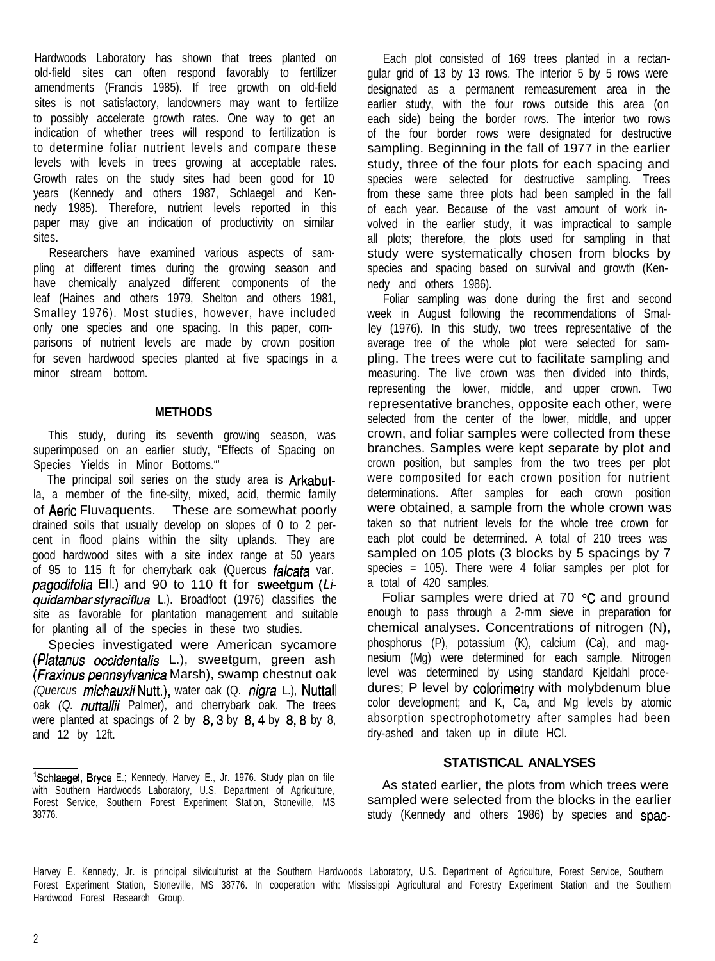Hardwoods Laboratory has shown that trees planted on old-field sites can often respond favorably to fertilizer amendments (Francis 1985). If tree growth on old-field sites is not satisfactory, landowners may want to fertilize to possibly accelerate growth rates. One way to get an indication of whether trees will respond to fertilization is to determine foliar nutrient levels and compare these levels with levels in trees growing at acceptable rates. Growth rates on the study sites had been good for 10 years (Kennedy and others 1987, Schlaegel and Kennedy 1985). Therefore, nutrient levels reported in this paper may give an indication of productivity on similar sites.

Researchers have examined various aspects of sampling at different times during the growing season and have chemically analyzed different components of the leaf (Haines and others 1979, Shelton and others 1981, Smalley 1976). Most studies, however, have included only one species and one spacing. In this paper, comparisons of nutrient levels are made by crown position for seven hardwood species planted at five spacings in a minor stream bottom.

### **METHODS**

This study, during its seventh growing season, was superimposed on an earlier study, "Effects of Spacing on Species Yields in Minor Bottoms."'

The principal soil series on the study area is **Arkabut**la, a member of the fine-silty, mixed, acid, thermic family of Aeric Fluvaquents. These are somewhat poorly drained soils that usually develop on slopes of 0 to 2 percent in flood plains within the silty uplands. They are good hardwood sites with a site index range at 50 years of 95 to 115 ft for cherrybark oak (Quercus *falcata* var. pagodifolia Ell.) and 90 to 110 ft for sweetgum (Li*quidambarsfyraciflua* L.). Broadfoot (1976) classifies the site as favorable for plantation management and suitable for planting all of the species in these two studies.

Species investigated were American sycamore (Platanus *occidentalis* L.), sweetgum, green ash *(Fraxinus pennsylvanica* Marsh), swamp chestnut oak *(Quercus* michauxiiNutt.), water oak (Q. *nigra* L.), Nuttall oak *(Q. nuttallii* Palmer), and cherrybark oak. The trees were planted at spacings of 2 by  $8,3$  by  $8,4$  by  $8,8$  by  $8,$ and 12 by 12ft.

Each plot consisted of 169 trees planted in a rectangular grid of 13 by 13 rows. The interior 5 by 5 rows were designated as a permanent remeasurement area in the earlier study, with the four rows outside this area (on each side) being the border rows. The interior two rows of the four border rows were designated for destructive sampling. Beginning in the fall of 1977 in the earlier study, three of the four plots for each spacing and species were selected for destructive sampling. Trees from these same three plots had been sampled in the fall of each year. Because of the vast amount of work involved in the earlier study, it was impractical to sample all plots; therefore, the plots used for sampling in that study were systematically chosen from blocks by species and spacing based on survival and growth (Kennedy and others 1986).

Foliar sampling was done during the first and second week in August following the recommendations of Smalley (1976). In this study, two trees representative of the average tree of the whole plot were selected for sampling. The trees were cut to facilitate sampling and measuring. The live crown was then divided into thirds, representing the lower, middle, and upper crown. Two representative branches, opposite each other, were selected from the center of the lower, middle, and upper crown, and foliar samples were collected from these branches. Samples were kept separate by plot and crown position, but samples from the two trees per plot were composited for each crown position for nutrient determinations. After samples for each crown position were obtained, a sample from the whole crown was taken so that nutrient levels for the whole tree crown for each plot could be determined. A total of 210 trees was sampled on 105 plots (3 blocks by 5 spacings by 7 species =  $105$ ). There were 4 foliar samples per plot for a total of 420 samples.

Foliar samples were dried at 70 "C and ground enough to pass through a 2-mm sieve in preparation for chemical analyses. Concentrations of nitrogen (N), phosphorus (P), potassium (K), calcium (Ca), and magnesium (Mg) were determined for each sample. Nitrogen level was determined by using standard Kjeldahl procedures; P level by colorimetry with molybdenum blue color development; and K, Ca, and Mg levels by atomic absorption spectrophotometry after samples had been dry-ashed and taken up in dilute HCI.

## **STATISTICAL ANALYSES**

As stated earlier, the plots from which trees were sampled were selected from the blocks in the earlier study (Kennedy and others 1986) by species and spac-

<sup>&#</sup>x27;Schlaegel, Bryce E.; Kennedy, Harvey E., Jr. 1976. Study plan on file with Southern Hardwoods Laboratory, U.S. Department of Agriculture, Forest Service, Southern Forest Experiment Station, Stoneville, MS 38776.

Harvey E. Kennedy, Jr. is principal silviculturist at the Southern Hardwoods Laboratory, U.S. Department of Agriculture, Forest Service, Southern Forest Experiment Station, Stoneville, MS 38776. In cooperation with: Mississippi Agricultural and Forestry Experiment Station and the Southern Hardwood Forest Research Group.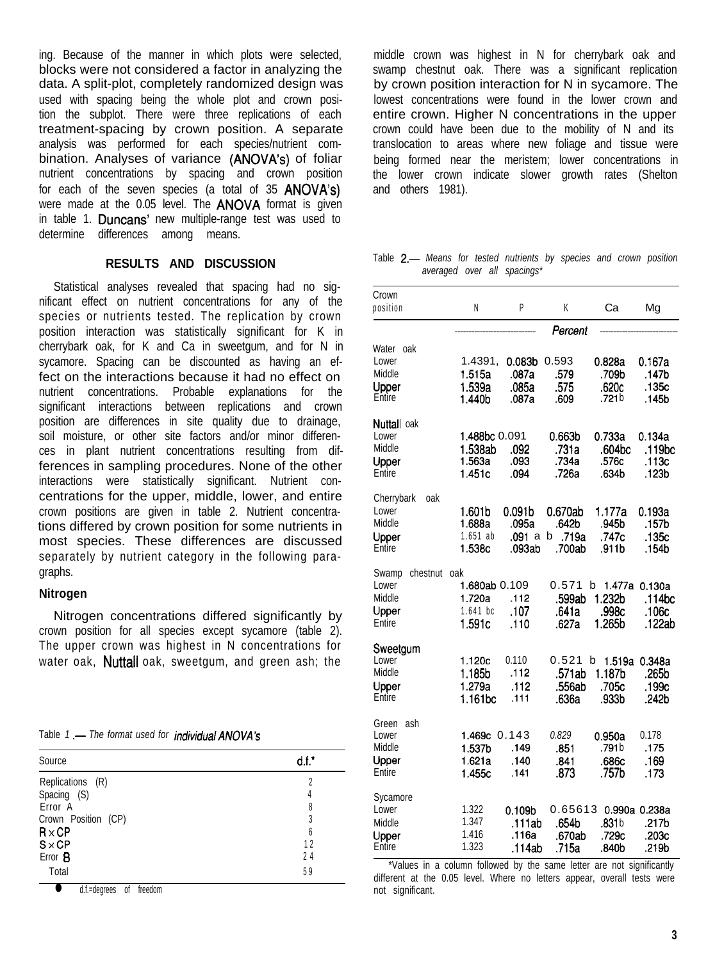ing. Because of the manner in which plots were selected, blocks were not considered a factor in analyzing the data. A split-plot, completely randomized design was used with spacing being the whole plot and crown position the subplot. There were three replications of each treatment-spacing by crown position. A separate analysis was performed for each species/nutrient combination. Analyses of variance (ANOVA's) of foliar nutrient concentrations by spacing and crown position for each of the seven species (a total of 35 ANOVA's) were made at the 0.05 level. The **ANOVA** format is given in table 1. Duncans' new multiple-range test was used to determine differences among means.

### **RESULTS AND DISCUSSION**

Statistical analyses revealed that spacing had no significant effect on nutrient concentrations for any of the species or nutrients tested. The replication by crown position interaction was statistically significant for K in cherrybark oak, for K and Ca in sweetgum, and for N in sycamore. Spacing can be discounted as having an effect on the interactions because it had no effect on nutrient concentrations. Probable explanations for the significant interactions between replications and crown position are differences in site quality due to drainage, soil moisture, or other site factors and/or minor differences in plant nutrient concentrations resulting from differences in sampling procedures. None of the other interactions were statistically significant. Nutrient concentrations for the upper, middle, lower, and entire crown positions are given in table 2. Nutrient concentrations differed by crown position for some nutrients in most species. These differences are discussed separately by nutrient category in the following paragraphs.

### **Nitrogen**

Nitrogen concentrations differed significantly by crown position for all species except sycamore (table 2). The upper crown was highest in N concentrations for water oak, **Nuttall** oak, sweetgum, and green ash; the

|  |  | Table 1 - The format used for <i>individual ANOVA's</i> |
|--|--|---------------------------------------------------------|
|  |  |                                                         |

|                               |        | <b>Middle</b>                  |
|-------------------------------|--------|--------------------------------|
| Source                        | $dt^*$ | Upper                          |
| Replications (R)              |        | Entire                         |
| Spacing (S)                   | 4      | Sycamore                       |
| Error A                       | 8      | Lower                          |
| Crown Position (CP)           |        | Middle                         |
| $R \times CP$                 | 6      | Upper                          |
| $S \times CP$                 | 12     | Entire                         |
| Error <b>B</b>                | 24     |                                |
| Total                         | 59     | *Values in<br>different at the |
| d.f.=degrees<br>freedom<br>0t |        | not significant.               |

middle crown was highest in N for cherrybark oak and swamp chestnut oak. There was a significant replication by crown position interaction for N in sycamore. The lowest concentrations were found in the lower crown and entire crown. Higher N concentrations in the upper crown could have been due to the mobility of N and its translocation to areas where new foliage and tissue were being formed near the meristem; lower concentrations in the lower crown indicate slower growth rates (Shelton and others 1981).

Table 2.- Means for tested nutrients by species and crown position *averaged over all spacings\**

| Crown<br>position                                       | Ν                                                    | P                                   | K                                             | Cа                                        | Mg                                         |  |  |  |  |
|---------------------------------------------------------|------------------------------------------------------|-------------------------------------|-----------------------------------------------|-------------------------------------------|--------------------------------------------|--|--|--|--|
|                                                         | Percent                                              |                                     |                                               |                                           |                                            |  |  |  |  |
| Water oak<br>Lower<br>Middle<br>Upper<br>Entire         | 1.4391,<br>1.515a<br>1.539a<br>1.440b                | 0.083b<br>.087a<br>.085a<br>.087a   | 0.593<br>.579<br>.575<br>.609                 | 0.828a<br>.709b<br>.620c<br>.721b         | 0.167a<br>.147b<br>.135c<br>.145b          |  |  |  |  |
| Nuttall oak<br>Lower<br>Middle<br>Upper<br>Entire       | 1.488bc 0.091<br>1.538ab<br>1.563a<br>1.451c         | .092<br>.093<br>.094                | 0.663 <sub>b</sub><br>.731a<br>.734a<br>.726a | 0.733a<br>.604bc<br>.576c<br>.634b        | 0.134a<br>.119bc<br>.113c<br>.123b         |  |  |  |  |
| Cherrybark<br>oak<br>Lower<br>Middle<br>Upper<br>Entire | 1.601b<br>1.688a<br>$1.651$ ab<br>1.538c             | 0.091b<br>.095a<br>.091 a<br>.093ab | 0.670ab<br>.642b<br>b .719a<br>.700ab         | 1.177a<br>.945b<br>.747c<br>.911b         | 0.193a<br>.157b<br>.135c<br>.154b          |  |  |  |  |
| chestnut<br>Swamp<br>Lower<br>Middle<br>Upper<br>Entire | oak<br>1.680ab 0.109<br>1.720a<br>1.641 bc<br>1.591c | .112<br>.107<br>.110                | 0.571<br>.599ab<br>.641a<br>.627a             | b<br>1.232b<br>.998c<br>1.265b            | 1.477a 0.130a<br>.114bc<br>.106c<br>.122ab |  |  |  |  |
| Sweetgum<br>Lower<br>Middle<br>Upper<br>Entire          | 1.120c<br>1.185b<br>1.279a<br>1.161bc                | 0.110<br>.112<br>.112<br>.111       | 0.521<br>.571ab<br>.556ab<br>.636a            | b<br>1.187 <sub>b</sub><br>.705c<br>.933b | 1.519a 0.348a<br>.265b<br>.199c<br>.242b   |  |  |  |  |
| Green<br>ash<br>Lower<br>Middle<br>Upper<br>Entire      | 1.469c 0.143<br>1.537b<br>1.621a<br>1.455c           | .149<br>.140<br>.141                | 0.829<br>.851<br>.841<br>.873                 | 0.950a<br>.791b<br>.686c<br>.757b         | 0.178<br>.175<br>.169<br>.173              |  |  |  |  |
| Sycamore<br>Lower<br>Middle<br>Upper<br>Entire          | 1.322<br>1.347<br>1.416<br>1.323                     | 0.109b<br>.111ab<br>.116a<br>.114ab | 0.65613<br>.654b<br>.670ab<br>.715a           | .831b<br>.729c<br>.840b                   | 0.990a 0.238a<br>.217b<br>.203c<br>.219b   |  |  |  |  |

\*Values in a column followed by the same letter are not significantly different at the 0.05 level. Where no letters appear, overall tests were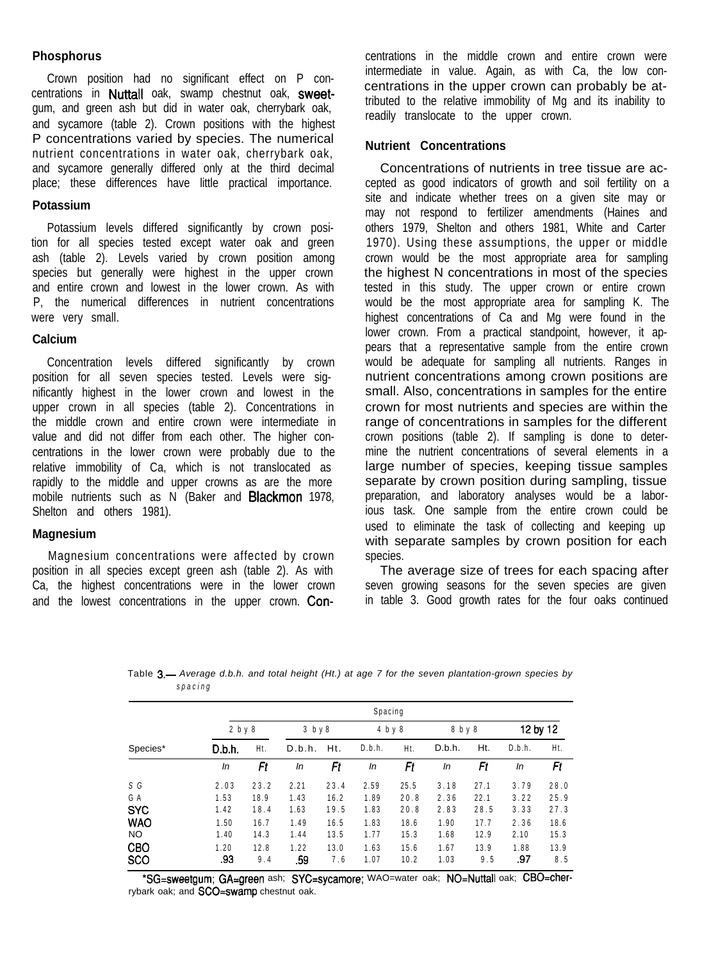# **Phosphorus**

Crown position had no significant effect on P concentrations in Nuttall oak, swamp chestnut oak, sweetgum, and green ash but did in water oak, cherrybark oak, and sycamore (table 2). Crown positions with the highest P concentrations varied by species. The numerical nutrient concentrations in water oak, cherrybark oak, and sycamore generally differed only at the third decimal place; these differences have little practical importance.

## **Potassium**

Potassium levels differed significantly by crown position for all species tested except water oak and green ash (table 2). Levels varied by crown position among species but generally were highest in the upper crown and entire crown and lowest in the lower crown. As with P, the numerical differences in nutrient concentrations were very small.

#### **Calcium**

Concentration levels differed significantly by crown position for all seven species tested. Levels were significantly highest in the lower crown and lowest in the upper crown in all species (table 2). Concentrations in the middle crown and entire crown were intermediate in value and did not differ from each other. The higher concentrations in the lower crown were probably due to the relative immobility of Ca, which is not translocated as rapidly to the middle and upper crowns as are the more mobile nutrients such as N (Baker and **Blackmon** 1978, Shelton and others 1981).

## **Magnesium**

Magnesium concentrations were affected by crown position in all species except green ash (table 2). As with Ca, the highest concentrations were in the lower crown and the lowest concentrations in the upper crown. Con-

centrations in the middle crown and entire crown were intermediate in value. Again, as with Ca, the low concentrations in the upper crown can probably be attributed to the relative immobility of Mg and its inability to readily translocate to the upper crown.

# **Nutrient Concentrations**

Concentrations of nutrients in tree tissue are accepted as good indicators of growth and soil fertility on a site and indicate whether trees on a given site may or may not respond to fertilizer amendments (Haines and others 1979, Shelton and others 1981, White and Carter 1970). Using these assumptions, the upper or middle crown would be the most appropriate area for sampling the highest N concentrations in most of the species tested in this study. The upper crown or entire crown would be the most appropriate area for sampling K. The highest concentrations of Ca and Mg were found in the lower crown. From a practical standpoint, however, it appears that a representative sample from the entire crown would be adequate for sampling all nutrients. Ranges in nutrient concentrations among crown positions are small. Also, concentrations in samples for the entire crown for most nutrients and species are within the range of concentrations in samples for the different crown positions (table 2). If sampling is done to determine the nutrient concentrations of several elements in a large number of species, keeping tissue samples separate by crown position during sampling, tissue preparation, and laboratory analyses would be a laborious task. One sample from the entire crown could be used to eliminate the task of collecting and keeping up with separate samples by crown position for each species.

The average size of trees for each spacing after seven growing seasons for the seven species are given in table 3. Good growth rates for the four oaks continued

| Table 3.— Average d.b.h. and total height (Ht.) at age 7 for the seven plantation-grown species by |  |  |  |  |  |
|----------------------------------------------------------------------------------------------------|--|--|--|--|--|
| spacing                                                                                            |  |  |  |  |  |

|                          | Spacing     |             |             |             |              |              |              |             |             |             |
|--------------------------|-------------|-------------|-------------|-------------|--------------|--------------|--------------|-------------|-------------|-------------|
|                          | 2 b y 8     |             | $3$ by $8$  |             | 4 b y 8      |              | 8 b y 8      |             | 12 by 12    |             |
| Species*                 | D.b.h.      | Ht.         | D.b.h.      | Ht.         | D.b.h.       | Ht.          | D.b.h.       | Ht.         | D.b.h.      | Ht.         |
|                          | In          | Ft          | In          | Ft          | In           | Ft           | In           | Ft          | In          | Ft          |
| S G                      | 2.03        | 23.2        | 2.21        | 23.4        | 2.59         | 25.5         | 3.18         | 27.1        | 3.79        | 28.0        |
| GA                       | 1.53        | 18.9        | 1.43        | 16.2        | 1.89         | 20.8         | 2.36         | 22.1        | 3.22        | 25.9        |
| <b>SYC</b>               | 1.42        | 18.4        | 1.63        | 19.5        | 1.83         | 20.8         | 2.83         | 28.5        | 3.33        | 27.3        |
| <b>WAO</b>               | 1.50        | 16.7        | 1.49        | 16.5        | 1.83         | 18.6         | 1.90         | 17.7        | 2.36        | 18.6        |
| <b>NO</b>                | 1.40        | 14.3        | 1.44        | 13.5        | 1.77         | 15.3         | 1.68         | 12.9        | 2.10        | 15.3        |
| <b>CBO</b><br><b>SCO</b> | 1.20<br>.93 | 12.8<br>9.4 | 1.22<br>.59 | 13.0<br>7.6 | 1.63<br>1.07 | 15.6<br>10.2 | 1.67<br>1.03 | 13.9<br>9.5 | 1.88<br>.97 | 13.9<br>8.5 |

\*SG=sweetgum; GA=green ash; SYC=sycamore; WAO=water oak; NO=Nuttall oak; CBO=cherrybark oak; and SCO=swamp chestnut oak.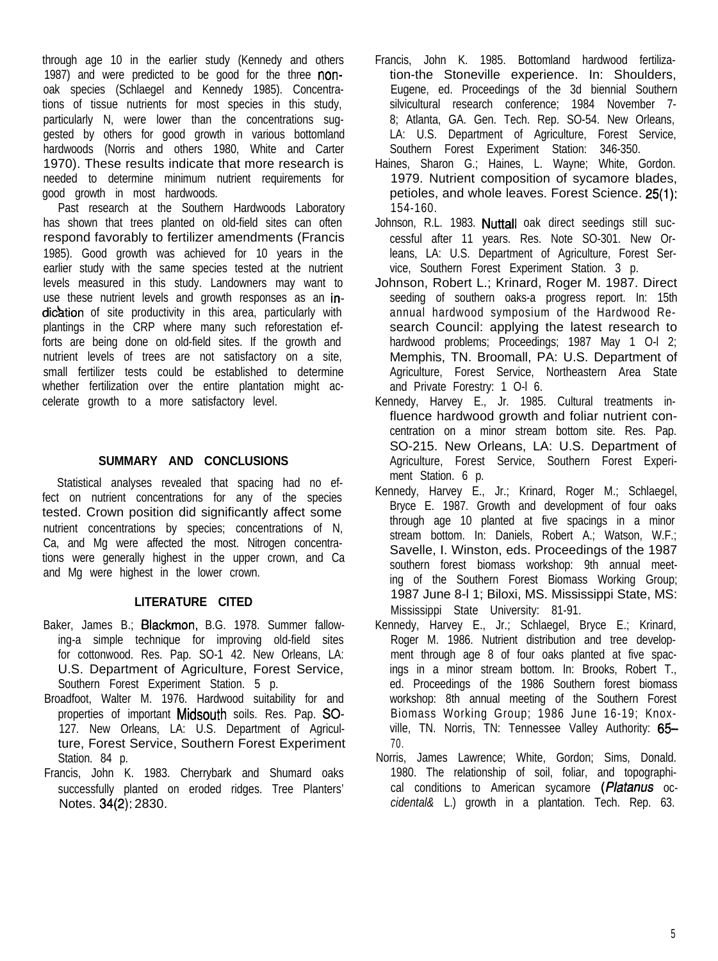through age 10 in the earlier study (Kennedy and others 1987) and were predicted to be good for the three nonoak species (Schlaegel and Kennedy 1985). Concentrations of tissue nutrients for most species in this study, particularly N, were lower than the concentrations suggested by others for good growth in various bottomland hardwoods (Norris and others 1980, White and Carter 1970). These results indicate that more research is needed to determine minimum nutrient requirements for good growth in most hardwoods.

Past research at the Southern Hardwoods Laboratory has shown that trees planted on old-field sites can often respond favorably to fertilizer amendments (Francis 1985). Good growth was achieved for 10 years in the earlier study with the same species tested at the nutrient levels measured in this study. Landowners may want to use these nutrient levels and growth responses as an indication of site productivity in this area, particularly with plantings in the CRP where many such reforestation efforts are being done on old-field sites. If the growth and nutrient levels of trees are not satisfactory on a site, small fertilizer tests could be established to determine whether fertilization over the entire plantation might accelerate growth to a more satisfactory level.

# **SUMMARY AND CONCLUSIONS**

Statistical analyses revealed that spacing had no effect on nutrient concentrations for any of the species tested. Crown position did significantly affect some nutrient concentrations by species; concentrations of N, Ca, and Mg were affected the most. Nitrogen concentrations were generally highest in the upper crown, and Ca and Mg were highest in the lower crown.

# **LITERATURE CITED**

- Baker, James B.; Blackmon, B.G. 1978. Summer fallowing-a simple technique for improving old-field sites for cottonwood. Res. Pap. SO-1 42. New Orleans, LA: U.S. Department of Agriculture, Forest Service, Southern Forest Experiment Station. 5 p.
- Broadfoot, Walter M. 1976. Hardwood suitability for and properties of important Midsouth soils. Res. Pap. SO-127. New Orleans, LA: U.S. Department of Agriculture, Forest Service, Southern Forest Experiment Station. 84 p.
- Francis, John K. 1983. Cherrybark and Shumard oaks successfully planted on eroded ridges. Tree Planters' Notes. 34(2): 2830.
- Francis, John K. 1985. Bottomland hardwood fertilization-the Stoneville experience. In: Shoulders, Eugene, ed. Proceedings of the 3d biennial Southern silvicultural research conference; 1984 November 7- 8; Atlanta, GA. Gen. Tech. Rep. SO-54. New Orleans, LA: U.S. Department of Agriculture, Forest Service, Southern Forest Experiment Station: 346-350.
- Haines, Sharon G.; Haines, L. Wayne; White, Gordon. 1979. Nutrient composition of sycamore blades, petioles, and whole leaves. Forest Science. 25(1): 154-160.
- Johnson, R.L. 1983. Nuttall oak direct seedings still successful after 11 years. Res. Note SO-301. New Orleans, LA: U.S. Department of Agriculture, Forest Service, Southern Forest Experiment Station. 3 p.
- Johnson, Robert L.; Krinard, Roger M. 1987. Direct seeding of southern oaks-a progress report. In: 15th annual hardwood symposium of the Hardwood Research Council: applying the latest research to hardwood problems; Proceedings; 1987 May 1 O-I 2; Memphis, TN. Broomall, PA: U.S. Department of Agriculture, Forest Service, Northeastern Area State and Private Forestry: 1 O-l 6.
- Kennedy, Harvey E., Jr. 1985. Cultural treatments influence hardwood growth and foliar nutrient concentration on a minor stream bottom site. Res. Pap. SO-215. New Orleans, LA: U.S. Department of Agriculture, Forest Service, Southern Forest Experiment Station. 6 p.
- Kennedy, Harvey E., Jr.; Krinard, Roger M.; Schlaegel, Bryce E. 1987. Growth and development of four oaks through age 10 planted at five spacings in a minor stream bottom. In: Daniels, Robert A.; Watson, W.F.; Savelle, I. Winston, eds. Proceedings of the 1987 southern forest biomass workshop: 9th annual meeting of the Southern Forest Biomass Working Group; 1987 June 8-l 1; Biloxi, MS. Mississippi State, MS: Mississippi State University: 81-91.
- Kennedy, Harvey E., Jr.; Schlaegel, Bryce E.; Krinard, Roger M. 1986. Nutrient distribution and tree development through age 8 of four oaks planted at five spacings in a minor stream bottom. In: Brooks, Robert T., ed. Proceedings of the 1986 Southern forest biomass workshop: 8th annual meeting of the Southern Forest Biomass Working Group; 1986 June 16-19; Knoxville, TN. Norris, TN: Tennessee Valley Authority: 65-70.
- Norris, James Lawrence; White, Gordon; Sims, Donald. 1980. The relationship of soil, foliar, and topographical conditions to American sycamore (Platanus oc*cidental&* L.) growth in a plantation. Tech. Rep. 63.